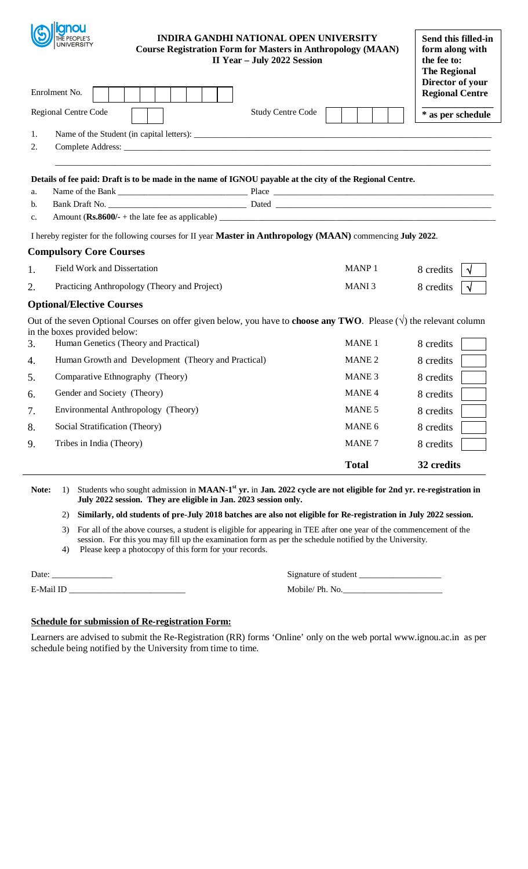|                | <b>INDIRA GANDHI NATIONAL OPEN UNIVERSITY</b><br><b>UNIVERSITY</b><br><b>Course Registration Form for Masters in Anthropology (MAAN)</b><br>II Year - July 2022 Session                                     |                   | Send this filled-in<br>form along with<br>the fee to:<br><b>The Regional</b><br>Director of your |
|----------------|-------------------------------------------------------------------------------------------------------------------------------------------------------------------------------------------------------------|-------------------|--------------------------------------------------------------------------------------------------|
|                | Enrolment No.                                                                                                                                                                                               |                   | <b>Regional Centre</b>                                                                           |
|                | Regional Centre Code<br><b>Study Centre Code</b>                                                                                                                                                            |                   | * as per schedule                                                                                |
| 1.             |                                                                                                                                                                                                             |                   |                                                                                                  |
| 2.             |                                                                                                                                                                                                             |                   |                                                                                                  |
| a.<br>b.<br>c. | Details of fee paid: Draft is to be made in the name of IGNOU payable at the city of the Regional Centre.                                                                                                   |                   |                                                                                                  |
|                | I hereby register for the following courses for II year <b>Master in Anthropology (MAAN)</b> commencing July 2022.                                                                                          |                   |                                                                                                  |
|                | <b>Compulsory Core Courses</b>                                                                                                                                                                              |                   |                                                                                                  |
| 1.             | Field Work and Dissertation                                                                                                                                                                                 | <b>MANP1</b>      | 8 credits                                                                                        |
| 2.             | Practicing Anthropology (Theory and Project)                                                                                                                                                                | MANI <sub>3</sub> | 8 credits                                                                                        |
|                | <b>Optional/Elective Courses</b>                                                                                                                                                                            |                   |                                                                                                  |
| 3.             | Out of the seven Optional Courses on offer given below, you have to <b>choose any TWO</b> . Please $(\sqrt{})$ the relevant column<br>in the boxes provided below:<br>Human Genetics (Theory and Practical) | <b>MANE 1</b>     | 8 credits                                                                                        |
| 4.             | Human Growth and Development (Theory and Practical)                                                                                                                                                         | MANE <sub>2</sub> | 8 credits                                                                                        |
| 5.             | Comparative Ethnography (Theory)                                                                                                                                                                            | MANE <sub>3</sub> | 8 credits                                                                                        |
| 6.             | Gender and Society (Theory)                                                                                                                                                                                 | MANE <sub>4</sub> | 8 credits                                                                                        |
| 7.             | Environmental Anthropology (Theory)                                                                                                                                                                         | MANE 5            | 8 credits                                                                                        |
| 8.             | Social Stratification (Theory)                                                                                                                                                                              | MANE <sub>6</sub> | 8 credits                                                                                        |
| 9.             | Tribes in India (Theory)                                                                                                                                                                                    | <b>MANE</b> 7     | 8 credits                                                                                        |
|                |                                                                                                                                                                                                             | <b>Total</b>      | 32 credits                                                                                       |

**Note:** 1) Students who sought admission in **MAAN-1**<sup>st</sup> yr. in **Jan.** 2022 cycle are not eligible for 2nd yr. re-registration in **July 2022 session. They are eligible in Jan. 2023 session only.** 

## 2) **Similarly, old students of pre-July 2018 batches are also not eligible for Re-registration in July 2022 session.**

- 3) For all of the above courses, a student is eligible for appearing in TEE after one year of the commencement of the session. For this you may fill up the examination form as per the schedule notified by the University.
- 4) Please keep a photocopy of this form for your records.

| Date:     | Signature of student |
|-----------|----------------------|
| E-Mail ID | Mobile/Ph. No.       |

## **Schedule for submission of Re-registration Form:**

أربوهما أأربط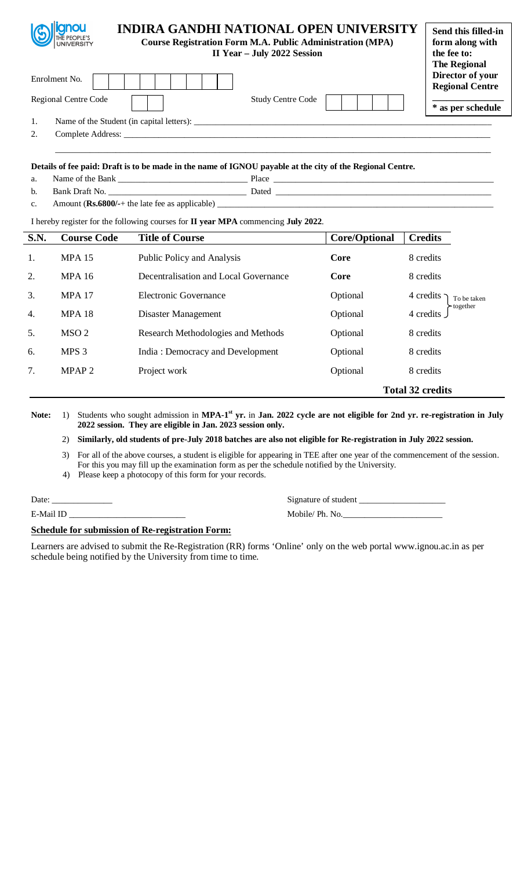| <b>llignou</b><br>THE PEOPLE'S<br>UNIVERSITY |                                           | <b>INDIRA GANDHI NATIONAL OPEN UNIVERSITY</b><br><b>Course Registration Form M.A. Public Administration (MPA)</b><br>II Year - July 2022 Session | Send this filled-in<br>form along with<br>the fee to:<br><b>The Regional</b> |
|----------------------------------------------|-------------------------------------------|--------------------------------------------------------------------------------------------------------------------------------------------------|------------------------------------------------------------------------------|
| Enrolment No.                                |                                           |                                                                                                                                                  | Director of your<br><b>Regional Centre</b>                                   |
| Regional Centre Code                         |                                           | <b>Study Centre Code</b>                                                                                                                         | * as per schedule                                                            |
| 1.                                           | Name of the Student (in capital letters): |                                                                                                                                                  |                                                                              |
| 2.                                           |                                           |                                                                                                                                                  |                                                                              |
|                                              |                                           |                                                                                                                                                  |                                                                              |

| c<br>a. |          |         |
|---------|----------|---------|
|         | ________ | --<br>. |

c. Amount (**Rs.6800/-**+ the late fee as applicable) \_\_\_\_\_\_\_\_\_\_\_\_\_\_\_\_\_\_\_\_\_\_\_\_\_\_\_\_\_\_\_\_\_\_\_\_\_\_\_\_\_\_\_\_\_\_\_\_\_\_\_\_\_\_\_\_\_\_\_\_\_\_\_\_

I hereby register for the following courses for **II year MPA** commencing **July 2022**.

| <b>S.N.</b>      | <b>Course Code</b> | <b>Title of Course</b>                | <b>Core/Optional</b> | <b>Credits</b>             |
|------------------|--------------------|---------------------------------------|----------------------|----------------------------|
| 1.               | <b>MPA 15</b>      | Public Policy and Analysis            | Core                 | 8 credits                  |
| 2.               | <b>MPA 16</b>      | Decentralisation and Local Governance | Core                 | 8 credits                  |
| 3.               | <b>MPA 17</b>      | <b>Electronic Governance</b>          | Optional             | 4 credits -<br>To be taken |
| $\overline{4}$ . | <b>MPA 18</b>      | Disaster Management                   | Optional             | together<br>4 credits      |
| 5.               | MSO <sub>2</sub>   | Research Methodologies and Methods    | Optional             | 8 credits                  |
| 6.               | MPS 3              | India: Democracy and Development      | Optional             | 8 credits                  |
| 7.               | MPAP <sub>2</sub>  | Project work                          | Optional             | 8 credits                  |
|                  |                    |                                       |                      | <b>Total 32 credits</b>    |

Note: 1) Students who sought admission in MPA-1<sup>st</sup> yr. in Jan. 2022 cycle are not eligible for 2nd yr. re-registration in July **2022 session. They are eligible in Jan. 2023 session only.** 

2) **Similarly, old students of pre-July 2018 batches are also not eligible for Re-registration in July 2022 session.** 

3) For all of the above courses, a student is eligible for appearing in TEE after one year of the commencement of the session. For this you may fill up the examination form as per the schedule notified by the University.

4) Please keep a photocopy of this form for your records.

Date: \_\_\_\_\_\_\_\_\_\_\_\_\_\_ Signature of student \_\_\_\_\_\_\_\_\_\_\_\_\_\_\_\_\_\_\_\_

**Schedule for submission of Re-registration Form:**

E-Mail ID \_\_\_\_\_\_\_\_\_\_\_\_\_\_\_\_\_\_\_\_\_\_\_\_\_\_\_ Mobile/ Ph. No.\_\_\_\_\_\_\_\_\_\_\_\_\_\_\_\_\_\_\_\_\_\_\_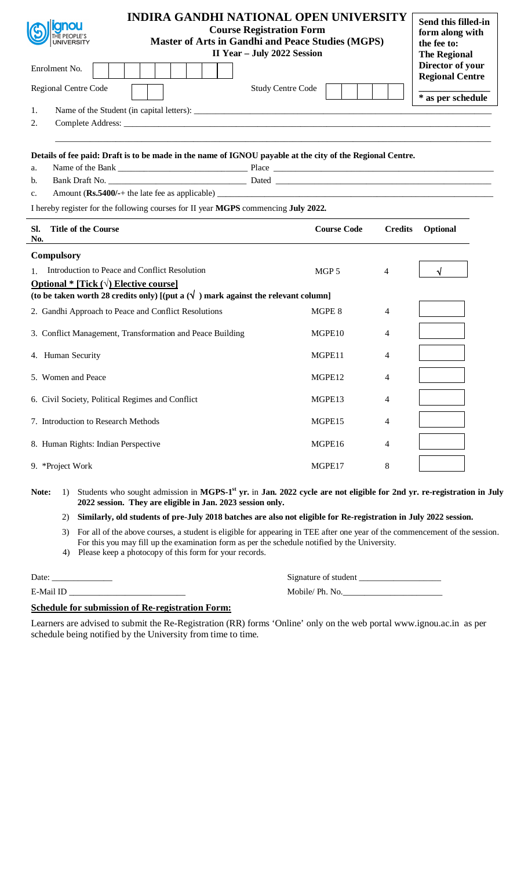|                                       | <b>INDIRA GANDHI NATIONAL OPEN UNIVERSITY</b><br><b>Course Registration Form</b><br><b>Master of Arts in Gandhi and Peace Studies (MGPS)</b><br>II Year - July 2022 Session                     |                    |                | Send this filled-in<br>form along with<br>the fee to:<br><b>The Regional</b> |
|---------------------------------------|-------------------------------------------------------------------------------------------------------------------------------------------------------------------------------------------------|--------------------|----------------|------------------------------------------------------------------------------|
| Enrolment No.                         |                                                                                                                                                                                                 |                    |                | Director of your<br><b>Regional Centre</b>                                   |
| Regional Centre Code                  | <b>Study Centre Code</b>                                                                                                                                                                        |                    |                |                                                                              |
| 1.                                    |                                                                                                                                                                                                 |                    |                | * as per schedule                                                            |
| 2.                                    |                                                                                                                                                                                                 |                    |                |                                                                              |
| a.                                    | Details of fee paid: Draft is to be made in the name of IGNOU payable at the city of the Regional Centre.                                                                                       |                    |                |                                                                              |
| b.                                    |                                                                                                                                                                                                 |                    |                |                                                                              |
| c.                                    |                                                                                                                                                                                                 |                    |                |                                                                              |
|                                       | I hereby register for the following courses for II year MGPS commencing July 2022.                                                                                                              |                    |                |                                                                              |
| SI.<br>No.                            | <b>Title of the Course</b>                                                                                                                                                                      | <b>Course Code</b> | <b>Credits</b> | Optional                                                                     |
| <b>Compulsory</b>                     |                                                                                                                                                                                                 |                    |                |                                                                              |
| $1_{-}$                               | Introduction to Peace and Conflict Resolution                                                                                                                                                   | MGP 5              | 4              |                                                                              |
|                                       | <b>Optional *</b> [Tick $(\sqrt{})$ Elective course]                                                                                                                                            |                    |                |                                                                              |
|                                       | (to be taken worth 28 credits only) [(put a $(\sqrt{\ } )$ ) mark against the relevant column]                                                                                                  |                    |                |                                                                              |
|                                       | 2. Gandhi Approach to Peace and Conflict Resolutions                                                                                                                                            | MGPE 8             | 4              |                                                                              |
|                                       | 3. Conflict Management, Transformation and Peace Building                                                                                                                                       | MGPE <sub>10</sub> | 4              |                                                                              |
| 4. Human Security                     |                                                                                                                                                                                                 | MGPE11             | 4              |                                                                              |
| 5. Women and Peace                    |                                                                                                                                                                                                 | MGPE12             | 4              |                                                                              |
|                                       | 6. Civil Society, Political Regimes and Conflict                                                                                                                                                | MGPE13             | 4              |                                                                              |
|                                       | 7. Introduction to Research Methods                                                                                                                                                             | MGPE15             | 4              |                                                                              |
|                                       | 8. Human Rights: Indian Perspective                                                                                                                                                             | MGPE16             | 4              |                                                                              |
| 9. *Project Work                      |                                                                                                                                                                                                 | MGPE17             | $8\,$          |                                                                              |
| Note:<br>$\left( \frac{1}{2} \right)$ | Students who sought admission in MGPS-1 <sup>st</sup> yr. in Jan. 2022 cycle are not eligible for 2nd yr. re-registration in July<br>2022 session. They are eligible in Jan. 2023 session only. |                    |                |                                                                              |
| 2)                                    | Similarly, old students of pre-July 2018 batches are also not eligible for Re-registration in July 2022 session.                                                                                |                    |                |                                                                              |
| 3)                                    | For all of the above courses, a student is eligible for appearing in TEE after one year of the commencement of the session.                                                                     |                    |                |                                                                              |

- For this you may fill up the examination form as per the schedule notified by the University.
- 4) Please keep a photocopy of this form for your records.

E-Mail ID \_\_\_\_\_\_\_\_\_\_\_\_\_\_\_\_\_\_\_\_\_\_\_\_\_\_\_ Mobile/ Ph. No.\_\_\_\_\_\_\_\_\_\_\_\_\_\_\_\_\_\_\_\_\_\_\_

| Date:            | Signature of student               |
|------------------|------------------------------------|
| $\Gamma$ Mail ID | $M_0$ $h^{-1}$ $\alpha$ $Dh$ $N_0$ |

# **Schedule for submission of Re-registration Form:**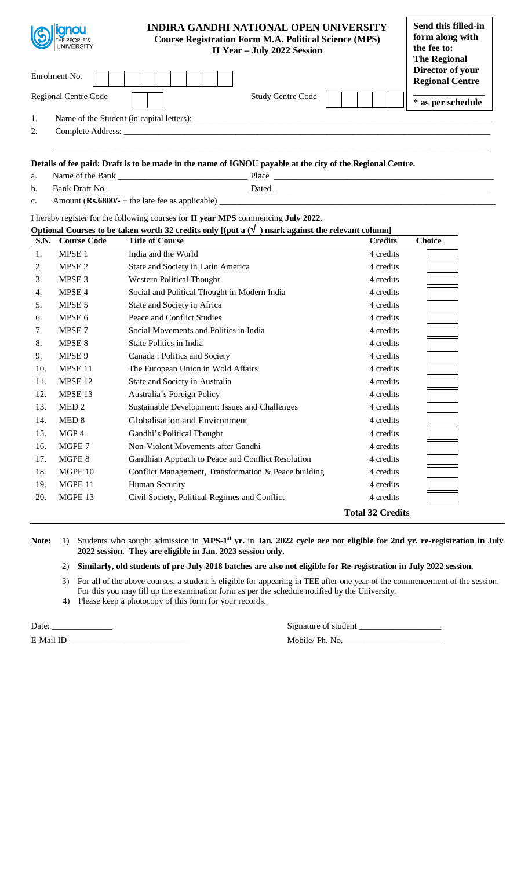|     | <b>SOLUTION</b><br>Enrolment No. | <b>INDIRA GANDHI NATIONAL OPEN UNIVERSITY</b><br><b>Course Registration Form M.A. Political Science (MPS)</b>                                                                                                                  | II Year - July 2022 Session | Send this filled-in<br>form along with<br>the fee to:<br>The Regional<br>Director of your<br><b>Regional Centre</b> |
|-----|----------------------------------|--------------------------------------------------------------------------------------------------------------------------------------------------------------------------------------------------------------------------------|-----------------------------|---------------------------------------------------------------------------------------------------------------------|
|     | Regional Centre Code             |                                                                                                                                                                                                                                | <b>Study Centre Code</b>    | * as per schedule                                                                                                   |
| 1.  |                                  | Name of the Student (in capital letters):                                                                                                                                                                                      |                             |                                                                                                                     |
| 2.  |                                  | Complete Address: No. 1996. The Complete Address: No. 1996. The Complete Address: No. 1997. The Complete Address: No. 1997. The Complete Address: No. 1997. The Complete Address: No. 1997. The Complete Address: No. 1997. Th |                             |                                                                                                                     |
|     |                                  | Details of fee paid: Draft is to be made in the name of IGNOU payable at the city of the Regional Centre.                                                                                                                      |                             |                                                                                                                     |
| a.  |                                  |                                                                                                                                                                                                                                |                             |                                                                                                                     |
| $b$ |                                  |                                                                                                                                                                                                                                |                             |                                                                                                                     |

| c. | Amount ( $\text{Rs.6800/-}$ + the late fee as applicable) |
|----|-----------------------------------------------------------|
|    |                                                           |

## I hereby register for the following courses for **II year MPS** commencing **July 2022**.

| Optional Courses to be taken worth 32 credits only $[(put a (V)) mark against the relevant column]$ |
|-----------------------------------------------------------------------------------------------------|
|-----------------------------------------------------------------------------------------------------|

| <b>S.N.</b> | <b>Course Code</b> | <b>Title of Course</b>                               | <b>Credits</b>          | <b>Choice</b> |
|-------------|--------------------|------------------------------------------------------|-------------------------|---------------|
| 1.          | MPSE <sub>1</sub>  | India and the World                                  | 4 credits               |               |
| 2.          | MPSE <sub>2</sub>  | State and Society in Latin America                   | 4 credits               |               |
| 3.          | MPSE <sub>3</sub>  | Western Political Thought                            | 4 credits               |               |
| 4.          | MPSE <sub>4</sub>  | Social and Political Thought in Modern India         | 4 credits               |               |
| 5.          | MPSE 5             | State and Society in Africa                          | 4 credits               |               |
| 6.          | MPSE 6             | Peace and Conflict Studies                           | 4 credits               |               |
| 7.          | MPSE <sub>7</sub>  | Social Movements and Politics in India               | 4 credits               |               |
| 8.          | MPSE 8             | State Politics in India                              | 4 credits               |               |
| 9.          | MPSE 9             | Canada: Politics and Society                         | 4 credits               |               |
| 10.         | MPSE 11            | The European Union in Wold Affairs                   | 4 credits               |               |
| 11.         | MPSE <sub>12</sub> | State and Society in Australia                       | 4 credits               |               |
| 12.         | MPSE 13            | Australia's Foreign Policy                           | 4 credits               |               |
| 13.         | MED <sub>2</sub>   | Sustainable Development: Issues and Challenges       | 4 credits               |               |
| 14.         | MED <sub>8</sub>   | Globalisation and Environment                        | 4 credits               |               |
| 15.         | MGP 4              | Gandhi's Political Thought                           | 4 credits               |               |
| 16.         | MGPE 7             | Non-Violent Movements after Gandhi                   | 4 credits               |               |
| 17.         | MGPE 8             | Gandhian Appoach to Peace and Conflict Resolution    | 4 credits               |               |
| 18.         | MGPE 10            | Conflict Management, Transformation & Peace building | 4 credits               |               |
| 19.         | MGPE 11            | Human Security                                       | 4 credits               |               |
| 20.         | MGPE 13            | Civil Society, Political Regimes and Conflict        | 4 credits               |               |
|             |                    |                                                      | <b>Total 32 Credits</b> |               |

Note: 1) Students who sought admission in MPS-1<sup>st</sup> yr. in Jan. 2022 cycle are not eligible for 2nd yr. re-registration in July **2022 session. They are eligible in Jan. 2023 session only.** 

2) **Similarly, old students of pre-July 2018 batches are also not eligible for Re-registration in July 2022 session.** 

3) For all of the above courses, a student is eligible for appearing in TEE after one year of the commencement of the session. For this you may fill up the examination form as per the schedule notified by the University.

4) Please keep a photocopy of this form for your records.

E-Mail ID \_\_\_\_\_\_\_\_\_\_\_\_\_\_\_\_\_\_\_\_\_\_\_\_\_\_\_ Mobile/ Ph. No.\_\_\_\_\_\_\_\_\_\_\_\_\_\_\_\_\_\_\_\_\_\_\_

Date: \_\_\_\_\_\_\_\_\_\_\_\_\_\_ Signature of student \_\_\_\_\_\_\_\_\_\_\_\_\_\_\_\_\_\_\_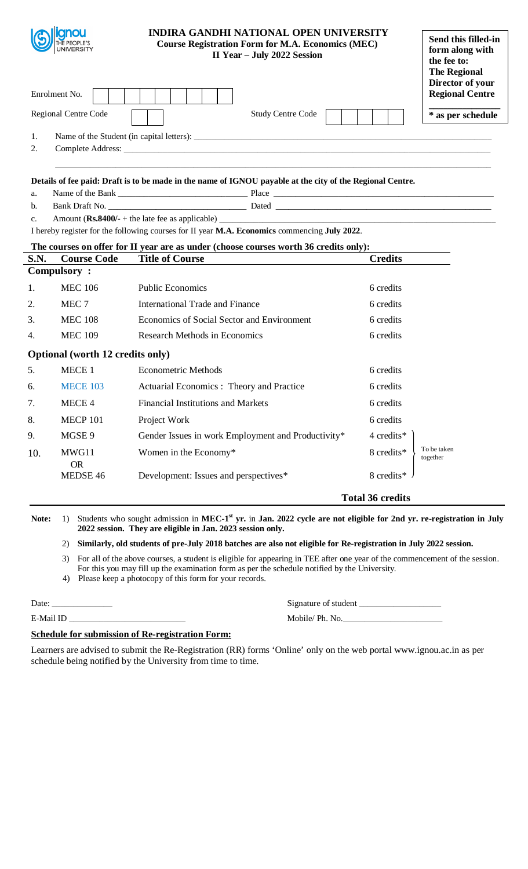| 1.<br>2.       | Enrolment No.<br>Regional Centre Code    | <b>INDIRA GANDHI NATIONAL OPEN UNIVERSITY</b><br><b>Course Registration Form for M.A. Economics (MEC)</b><br>II Year - July 2022 Session<br><b>Study Centre Code</b> |                         | Send this filled-in<br>form along with<br>the fee to:<br><b>The Regional</b><br>Director of your<br><b>Regional Centre</b><br>* as per schedule |
|----------------|------------------------------------------|----------------------------------------------------------------------------------------------------------------------------------------------------------------------|-------------------------|-------------------------------------------------------------------------------------------------------------------------------------------------|
|                |                                          | Details of fee paid: Draft is to be made in the name of IGNOU payable at the city of the Regional Centre.                                                            |                         |                                                                                                                                                 |
| a.             |                                          |                                                                                                                                                                      |                         |                                                                                                                                                 |
| $\mathbf{b}$ . |                                          |                                                                                                                                                                      |                         |                                                                                                                                                 |
| $C_{\star}$    |                                          |                                                                                                                                                                      |                         |                                                                                                                                                 |
|                |                                          | I hereby register for the following courses for II year M.A. Economics commencing July 2022.                                                                         |                         |                                                                                                                                                 |
|                |                                          | The courses on offer for II year are as under (choose courses worth 36 credits only):                                                                                |                         |                                                                                                                                                 |
| S.N.           | <b>Course Code</b><br><b>Compulsory:</b> | <b>Title of Course</b>                                                                                                                                               | <b>Credits</b>          |                                                                                                                                                 |
| 1.             | <b>MEC 106</b>                           | <b>Public Economics</b>                                                                                                                                              | 6 credits               |                                                                                                                                                 |
|                |                                          |                                                                                                                                                                      |                         |                                                                                                                                                 |
| 2.             | MEC <sub>7</sub>                         | <b>International Trade and Finance</b>                                                                                                                               | 6 credits               |                                                                                                                                                 |
| 3.             | <b>MEC 108</b>                           | Economics of Social Sector and Environment                                                                                                                           | 6 credits               |                                                                                                                                                 |
| 4.             | <b>MEC 109</b>                           | <b>Research Methods in Economics</b>                                                                                                                                 | 6 credits               |                                                                                                                                                 |
|                | Optional (worth 12 credits only)         |                                                                                                                                                                      |                         |                                                                                                                                                 |
| 5.             | MECE 1                                   | <b>Econometric Methods</b>                                                                                                                                           | 6 credits               |                                                                                                                                                 |
| 6.             | <b>MECE 103</b>                          | Actuarial Economics: Theory and Practice                                                                                                                             | 6 credits               |                                                                                                                                                 |
| 7.             | MECE 4                                   | <b>Financial Institutions and Markets</b>                                                                                                                            | 6 credits               |                                                                                                                                                 |
| 8.             | <b>MECP 101</b>                          | Project Work                                                                                                                                                         | 6 credits               |                                                                                                                                                 |
| 9.             | MGSE <sub>9</sub>                        | Gender Issues in work Employment and Productivity*                                                                                                                   | 4 credits*              |                                                                                                                                                 |
| 10.            | MWG11<br><b>OR</b>                       | Women in the Economy*                                                                                                                                                | 8 credits*              | To be taken<br>together                                                                                                                         |
|                | MEDSE 46                                 | Development: Issues and perspectives*                                                                                                                                | 8 credits*              |                                                                                                                                                 |
|                |                                          |                                                                                                                                                                      | <b>Total 36 credits</b> |                                                                                                                                                 |

Note: 1) Students who sought admission in MEC-1<sup>st</sup> yr. in Jan. 2022 cycle are not eligible for 2nd yr. re-registration in July **2022 session. They are eligible in Jan. 2023 session only.** 

# 2) **Similarly, old students of pre-July 2018 batches are also not eligible for Re-registration in July 2022 session.**

3) For all of the above courses, a student is eligible for appearing in TEE after one year of the commencement of the session. For this you may fill up the examination form as per the schedule notified by the University.

4) Please keep a photocopy of this form for your records.

E-Mail ID \_\_\_\_\_\_\_\_\_\_\_\_\_\_\_\_\_\_\_\_\_\_\_\_\_\_\_ Mobile/ Ph. No.\_\_\_\_\_\_\_\_\_\_\_\_\_\_\_\_\_\_\_\_\_\_\_

| Date: | Signature of student |
|-------|----------------------|
|       |                      |

## **Schedule for submission of Re-registration Form:**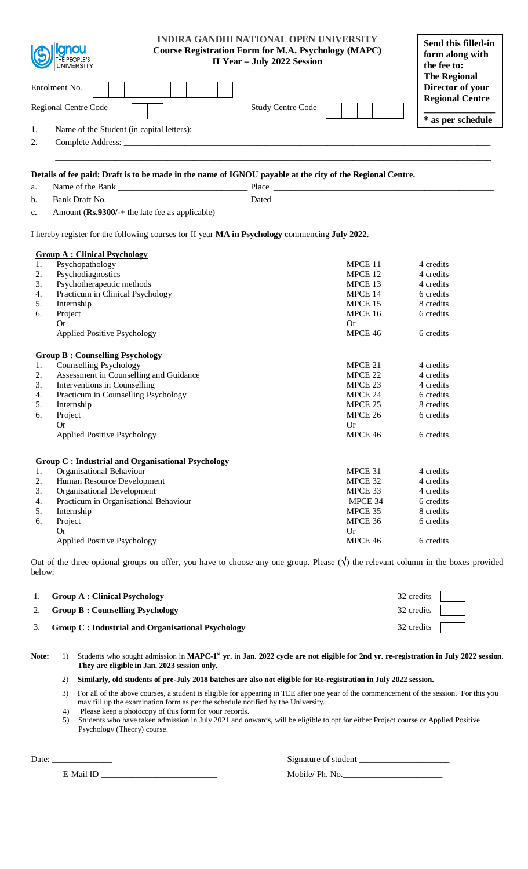| Details of fee paid: Draft is to be made in the name of IGNOU payable at the city of the Regional Centre.<br>a.<br>b.<br>c.<br>I hereby register for the following courses for II year MA in Psychology commencing July 2022.<br><b>Group A: Clinical Psychology</b><br>Psychopathology<br>MPCE 11<br>1.<br>4 credits<br>Psychodiagnostics<br>MPCE 12<br>2.<br>4 credits<br>Psychotherapeutic methods<br>MPCE 13<br>4 credits<br>3.<br>Practicum in Clinical Psychology<br>MPCE 14<br>6 credits<br>4.<br>Internship<br>MPCE 15<br>8 credits<br>5.<br>MPCE 16<br>Project<br>6 credits<br>6.<br>Or<br><b>Or</b><br>MPCE 46<br><b>Applied Positive Psychology</b><br>6 credits<br><b>Group B: Counselling Psychology</b><br>Counselling Psychology<br>MPCE 21<br>4 credits<br>1.<br>Assessment in Counselling and Guidance<br>2.<br>MPCE 22<br>4 credits<br>Interventions in Counselling<br>3.<br>MPCE 23<br>4 credits<br>Practicum in Counselling Psychology<br>MPCE 24<br>4.<br>6 credits<br>5.<br>MPCE 25<br>8 credits<br>Internship<br>6 credits<br>MPCE 26<br>6.<br>Project<br>Or<br>Or<br>MPCE 46<br>6 credits<br><b>Applied Positive Psychology</b><br><b>Group C: Industrial and Organisational Psychology</b><br>Organisational Behaviour<br>1.<br>MPCE 31<br>4 credits<br>Human Resource Development<br>2.<br>MPCE 32<br>4 credits<br>Organisational Development<br>MPCE 33<br>4 credits<br>3.<br>Practicum in Organisational Behaviour<br>MPCE 34<br>6 credits<br>4.<br>MPCE 35<br>8 credits<br>5.<br>Internship<br>Project<br>MPCE 36<br>6 credits<br>6.<br>Or<br><b>Or</b><br>MPCE 46<br><b>Applied Positive Psychology</b><br>6 credits | UNIVERSITY<br>Enrolment No.<br>Regional Centre Code<br>1.<br>2. | <b>INDIRA GANDHI NATIONAL OPEN UNIVERSITY</b><br><b>Course Registration Form for M.A. Psychology (MAPC)</b><br>II Year - July 2022 Session<br><b>Study Centre Code</b> | Send this filled-in<br>form along with<br>the fee to:<br><b>The Regional</b><br>Director of your<br><b>Regional Centre</b><br>* as per schedule |
|----------------------------------------------------------------------------------------------------------------------------------------------------------------------------------------------------------------------------------------------------------------------------------------------------------------------------------------------------------------------------------------------------------------------------------------------------------------------------------------------------------------------------------------------------------------------------------------------------------------------------------------------------------------------------------------------------------------------------------------------------------------------------------------------------------------------------------------------------------------------------------------------------------------------------------------------------------------------------------------------------------------------------------------------------------------------------------------------------------------------------------------------------------------------------------------------------------------------------------------------------------------------------------------------------------------------------------------------------------------------------------------------------------------------------------------------------------------------------------------------------------------------------------------------------------------------------------------------------------------------------------------------------|-----------------------------------------------------------------|------------------------------------------------------------------------------------------------------------------------------------------------------------------------|-------------------------------------------------------------------------------------------------------------------------------------------------|
|                                                                                                                                                                                                                                                                                                                                                                                                                                                                                                                                                                                                                                                                                                                                                                                                                                                                                                                                                                                                                                                                                                                                                                                                                                                                                                                                                                                                                                                                                                                                                                                                                                                    |                                                                 |                                                                                                                                                                        |                                                                                                                                                 |
|                                                                                                                                                                                                                                                                                                                                                                                                                                                                                                                                                                                                                                                                                                                                                                                                                                                                                                                                                                                                                                                                                                                                                                                                                                                                                                                                                                                                                                                                                                                                                                                                                                                    |                                                                 |                                                                                                                                                                        |                                                                                                                                                 |
|                                                                                                                                                                                                                                                                                                                                                                                                                                                                                                                                                                                                                                                                                                                                                                                                                                                                                                                                                                                                                                                                                                                                                                                                                                                                                                                                                                                                                                                                                                                                                                                                                                                    |                                                                 |                                                                                                                                                                        |                                                                                                                                                 |
|                                                                                                                                                                                                                                                                                                                                                                                                                                                                                                                                                                                                                                                                                                                                                                                                                                                                                                                                                                                                                                                                                                                                                                                                                                                                                                                                                                                                                                                                                                                                                                                                                                                    |                                                                 |                                                                                                                                                                        |                                                                                                                                                 |
|                                                                                                                                                                                                                                                                                                                                                                                                                                                                                                                                                                                                                                                                                                                                                                                                                                                                                                                                                                                                                                                                                                                                                                                                                                                                                                                                                                                                                                                                                                                                                                                                                                                    |                                                                 |                                                                                                                                                                        |                                                                                                                                                 |
|                                                                                                                                                                                                                                                                                                                                                                                                                                                                                                                                                                                                                                                                                                                                                                                                                                                                                                                                                                                                                                                                                                                                                                                                                                                                                                                                                                                                                                                                                                                                                                                                                                                    |                                                                 |                                                                                                                                                                        |                                                                                                                                                 |
|                                                                                                                                                                                                                                                                                                                                                                                                                                                                                                                                                                                                                                                                                                                                                                                                                                                                                                                                                                                                                                                                                                                                                                                                                                                                                                                                                                                                                                                                                                                                                                                                                                                    |                                                                 |                                                                                                                                                                        |                                                                                                                                                 |
|                                                                                                                                                                                                                                                                                                                                                                                                                                                                                                                                                                                                                                                                                                                                                                                                                                                                                                                                                                                                                                                                                                                                                                                                                                                                                                                                                                                                                                                                                                                                                                                                                                                    |                                                                 |                                                                                                                                                                        |                                                                                                                                                 |
|                                                                                                                                                                                                                                                                                                                                                                                                                                                                                                                                                                                                                                                                                                                                                                                                                                                                                                                                                                                                                                                                                                                                                                                                                                                                                                                                                                                                                                                                                                                                                                                                                                                    |                                                                 |                                                                                                                                                                        |                                                                                                                                                 |
|                                                                                                                                                                                                                                                                                                                                                                                                                                                                                                                                                                                                                                                                                                                                                                                                                                                                                                                                                                                                                                                                                                                                                                                                                                                                                                                                                                                                                                                                                                                                                                                                                                                    |                                                                 |                                                                                                                                                                        |                                                                                                                                                 |
|                                                                                                                                                                                                                                                                                                                                                                                                                                                                                                                                                                                                                                                                                                                                                                                                                                                                                                                                                                                                                                                                                                                                                                                                                                                                                                                                                                                                                                                                                                                                                                                                                                                    |                                                                 |                                                                                                                                                                        |                                                                                                                                                 |
|                                                                                                                                                                                                                                                                                                                                                                                                                                                                                                                                                                                                                                                                                                                                                                                                                                                                                                                                                                                                                                                                                                                                                                                                                                                                                                                                                                                                                                                                                                                                                                                                                                                    |                                                                 |                                                                                                                                                                        |                                                                                                                                                 |
|                                                                                                                                                                                                                                                                                                                                                                                                                                                                                                                                                                                                                                                                                                                                                                                                                                                                                                                                                                                                                                                                                                                                                                                                                                                                                                                                                                                                                                                                                                                                                                                                                                                    |                                                                 |                                                                                                                                                                        |                                                                                                                                                 |
|                                                                                                                                                                                                                                                                                                                                                                                                                                                                                                                                                                                                                                                                                                                                                                                                                                                                                                                                                                                                                                                                                                                                                                                                                                                                                                                                                                                                                                                                                                                                                                                                                                                    |                                                                 |                                                                                                                                                                        |                                                                                                                                                 |
|                                                                                                                                                                                                                                                                                                                                                                                                                                                                                                                                                                                                                                                                                                                                                                                                                                                                                                                                                                                                                                                                                                                                                                                                                                                                                                                                                                                                                                                                                                                                                                                                                                                    |                                                                 |                                                                                                                                                                        |                                                                                                                                                 |

Out of the three optional groups on offer, you have to choose any one group. Please  $(\sqrt{\ })$  the relevant column in the boxes provided below:

| 1. Group A : Clinical Psychology                     | $32 \text{ credits}$        |  |
|------------------------------------------------------|-----------------------------|--|
| 2. Group B: Counselling Psychology                   | 32 credits                  |  |
| 3. Group C: Industrial and Organisational Psychology | $32$ credits $\blacksquare$ |  |

Note: 1) Students who sought admission in MAPC-1<sup>st</sup> yr. in Jan. 2022 cycle are not eligible for 2nd yr. re-registration in July 2022 session. **They are eligible in Jan. 2023 session only.**

# 2) **Similarly, old students of pre-July 2018 batches are also not eligible for Re-registration in July 2022 session.**

3) For all of the above courses, a student is eligible for appearing in TEE after one year of the commencement of the session. For this you may fill up the examination form as per the schedule notified by the University.

4) Please keep a photocopy of this form for your records.

5) Students who have taken admission in July 2021 and onwards, will be eligible to opt for either Project course or Applied Positive Psychology (Theory) course.

Date: \_\_\_\_\_\_\_\_\_\_\_\_\_\_ Signature of student \_\_\_\_\_\_\_\_\_\_\_\_\_\_\_\_\_\_\_\_\_

E-Mail ID \_\_\_\_\_\_\_\_\_\_\_\_\_\_\_\_\_\_\_\_\_\_\_\_\_\_\_ Mobile/ Ph. No.\_\_\_\_\_\_\_\_\_\_\_\_\_\_\_\_\_\_\_\_\_\_\_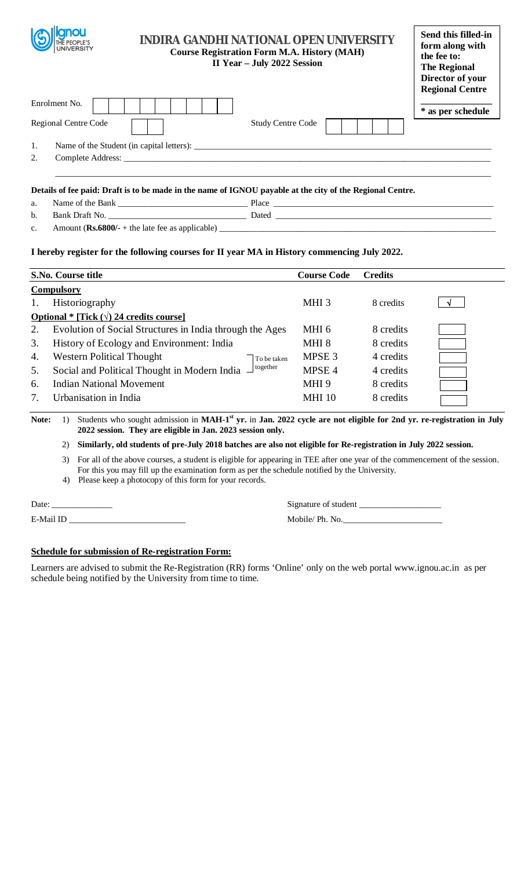

# **INDIRA GANDHI NATIONAL OPEN UNIVERSITY Course Registration Form M.A. History (MAH) II Year – July 2022 Session**

| Send this filled-in    |
|------------------------|
| form along with        |
| the fee to:            |
| <b>The Regional</b>    |
| Director of your       |
| <b>Regional Centre</b> |

| Enrolment No.                                                                                             |                          | * as per schedule |
|-----------------------------------------------------------------------------------------------------------|--------------------------|-------------------|
| Regional Centre Code                                                                                      | <b>Study Centre Code</b> |                   |
| Name of the Student (in capital letters):                                                                 |                          |                   |
| 2.                                                                                                        |                          |                   |
|                                                                                                           |                          |                   |
| Details of fee paid: Draft is to be made in the name of IGNOU payable at the city of the Regional Centre. |                          |                   |

### **Details of fee paid: Draft is to be made in the name of IGNOU payable at the city of the Regional Centre.**

| a.             | Name of the Bank                                          | Place |
|----------------|-----------------------------------------------------------|-------|
| b.             | Bank Draft No.                                            | Dated |
| $\mathbf{c}$ . | Amount ( $\text{Rs.6800/-}$ + the late fee as applicable) |       |

## **I hereby register for the following courses for II year MA in History commencing July 2022.**

|    | S.No. Course title                                         | <b>Course Code</b> | <b>Credits</b> |  |
|----|------------------------------------------------------------|--------------------|----------------|--|
|    | <b>Compulsory</b>                                          |                    |                |  |
|    | Historiography                                             | MHI 3              | 8 credits      |  |
|    | Optional * [Tick $(\sqrt{2})$ 24 credits course]           |                    |                |  |
| 2. | Evolution of Social Structures in India through the Ages   | MHI 6              | 8 credits      |  |
| 3. | History of Ecology and Environment: India                  | MHI 8              | 8 credits      |  |
| 4. | Western Political Thought<br>To be taken                   | MPSE <sub>3</sub>  | 4 credits      |  |
| 5. | together<br>Social and Political Thought in Modern India - | MPSE 4             | 4 credits      |  |
| 6. | <b>Indian National Movement</b>                            | MHI <sub>9</sub>   | 8 credits      |  |
| 7. | Urbanisation in India                                      | <b>MHI 10</b>      | 8 credits      |  |

Note: 1) Students who sought admission in MAH-1<sup>st</sup> yr. in Jan. 2022 cycle are not eligible for 2nd yr. re-registration in July **2022 session. They are eligible in Jan. 2023 session only.** 

2) **Similarly, old students of pre-July 2018 batches are also not eligible for Re-registration in July 2022 session.** 

3) For all of the above courses, a student is eligible for appearing in TEE after one year of the commencement of the session. For this you may fill up the examination form as per the schedule notified by the University.

4) Please keep a photocopy of this form for your records.

E-Mail ID \_\_\_\_\_\_\_\_\_\_\_\_\_\_\_\_\_\_\_\_\_\_\_\_\_\_\_ Mobile/ Ph. No.\_\_\_\_\_\_\_\_\_\_\_\_\_\_\_\_\_\_\_\_\_\_\_

Date: \_\_\_\_\_\_\_\_\_\_\_\_\_\_ Signature of student \_\_\_\_\_\_\_\_\_\_\_\_\_\_\_\_\_\_\_

## **Schedule for submission of Re-registration Form:**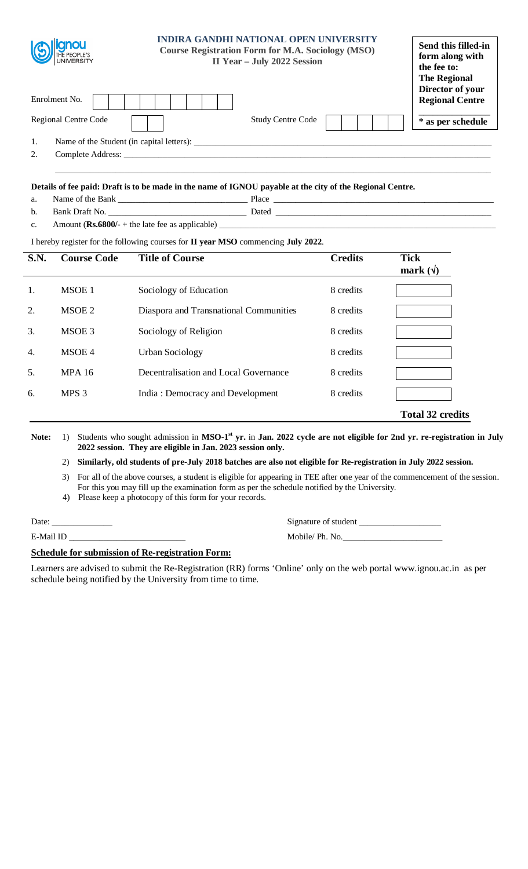

\_\_\_\_\_\_\_\_\_\_\_\_\_\_\_\_\_\_\_\_\_\_\_\_\_\_\_\_\_\_\_\_\_\_\_\_\_\_\_\_\_\_\_\_\_\_\_\_\_\_\_\_\_\_\_\_\_\_\_\_\_\_\_\_\_\_\_\_\_\_\_\_\_\_\_\_\_\_\_\_\_\_\_\_\_\_\_\_\_\_\_\_\_\_\_\_\_\_\_\_\_

# **Details of fee paid: Draft is to be made in the name of IGNOU payable at the city of the Regional Centre.**

- a. Name of the Bank \_\_\_\_\_\_\_\_\_\_\_\_\_\_\_\_\_\_\_\_\_\_\_\_\_\_\_\_\_\_ Place \_\_\_\_\_\_\_\_\_\_\_\_\_\_\_\_\_\_\_\_\_\_\_\_\_\_\_\_\_\_\_\_\_\_\_\_\_\_\_\_\_\_\_\_\_\_\_\_\_\_\_
- b. Bank Draft No. 2014 Dated 2014
- c. Amount  $(Rs.6800/- +$  the late fee as applicable)  $\qquad$

# I hereby register for the following courses for **II year MSO** commencing **July 2022**.

| <b>S.N.</b>      | <b>Course Code</b> | <b>Title of Course</b>                 | <b>Credits</b> | <b>Tick</b><br>mark $(\forall)$ |
|------------------|--------------------|----------------------------------------|----------------|---------------------------------|
| 1.               | MSOE 1             | Sociology of Education                 | 8 credits      |                                 |
| 2.               | MSOE 2             | Diaspora and Transnational Communities | 8 credits      |                                 |
| 3.               | MSOE 3             | Sociology of Religion                  | 8 credits      |                                 |
| $\overline{4}$ . | MSOE 4             | Urban Sociology                        | 8 credits      |                                 |
| 5.               | <b>MPA 16</b>      | Decentralisation and Local Governance  | 8 credits      |                                 |
| 6.               | MPS <sub>3</sub>   | India: Democracy and Development       | 8 credits      |                                 |
|                  |                    |                                        |                | <b>Total 32 credits</b>         |

Note: 1) Students who sought admission in MSO-1<sup>st</sup> yr. in Jan. 2022 cycle are not eligible for 2nd yr. re-registration in July **2022 session. They are eligible in Jan. 2023 session only.** 

#### 2) **Similarly, old students of pre-July 2018 batches are also not eligible for Re-registration in July 2022 session.**

3) For all of the above courses, a student is eligible for appearing in TEE after one year of the commencement of the session. For this you may fill up the examination form as per the schedule notified by the University.

4) Please keep a photocopy of this form for your records.

Date: \_\_\_\_\_\_\_\_\_\_\_\_\_\_ Signature of student \_\_\_\_\_\_\_\_\_\_\_\_\_\_\_\_\_\_\_ E-Mail ID \_\_\_\_\_\_\_\_\_\_\_\_\_\_\_\_\_\_\_\_\_\_\_\_\_\_\_ Mobile/ Ph. No.\_\_\_\_\_\_\_\_\_\_\_\_\_\_\_\_\_\_\_\_\_\_\_

#### **Schedule for submission of Re-registration Form:**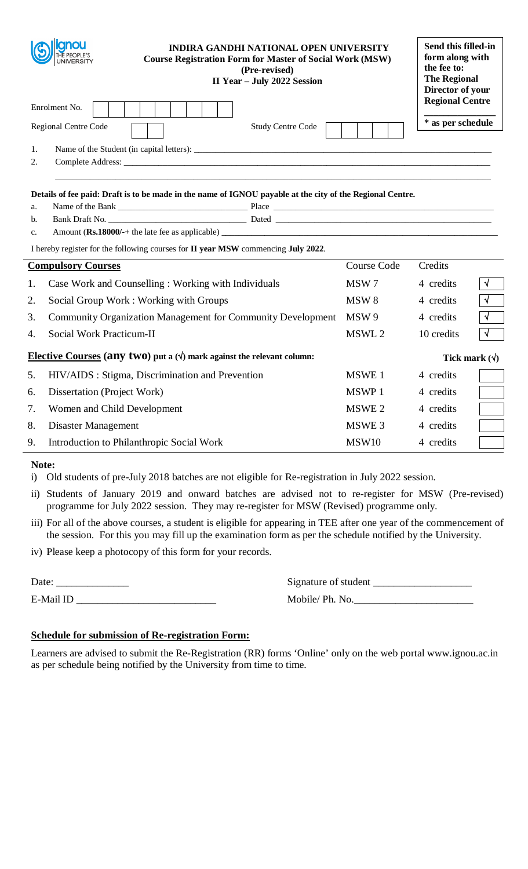|                                                                                                                | anou<br><b>INDIRA GANDHI NATIONAL OPEN UNIVERSITY</b><br><b>Course Registration Form for Master of Social Work (MSW)</b><br><b>UNIVERSITY</b><br>(Pre-revised)<br>II Year - July 2022 Session |                    | Send this filled-in<br>form along with<br>the fee to:<br><b>The Regional</b><br>Director of your |                       |
|----------------------------------------------------------------------------------------------------------------|-----------------------------------------------------------------------------------------------------------------------------------------------------------------------------------------------|--------------------|--------------------------------------------------------------------------------------------------|-----------------------|
|                                                                                                                | Enrolment No.                                                                                                                                                                                 |                    | <b>Regional Centre</b>                                                                           |                       |
|                                                                                                                | <b>Study Centre Code</b><br>Regional Centre Code                                                                                                                                              |                    | * as per schedule                                                                                |                       |
| 1.                                                                                                             |                                                                                                                                                                                               |                    |                                                                                                  |                       |
| 2.                                                                                                             |                                                                                                                                                                                               |                    |                                                                                                  |                       |
|                                                                                                                |                                                                                                                                                                                               |                    |                                                                                                  |                       |
|                                                                                                                | Details of fee paid: Draft is to be made in the name of IGNOU payable at the city of the Regional Centre.                                                                                     |                    |                                                                                                  |                       |
| a.                                                                                                             |                                                                                                                                                                                               |                    |                                                                                                  |                       |
| b.                                                                                                             |                                                                                                                                                                                               |                    |                                                                                                  |                       |
| $C_{\star}$                                                                                                    |                                                                                                                                                                                               |                    |                                                                                                  |                       |
|                                                                                                                | I hereby register for the following courses for II year MSW commencing July 2022.                                                                                                             |                    |                                                                                                  |                       |
|                                                                                                                | <b>Compulsory Courses</b>                                                                                                                                                                     | <b>Course Code</b> | Credits                                                                                          |                       |
| 1.                                                                                                             | Case Work and Counselling: Working with Individuals                                                                                                                                           | MSW 7              | 4 credits                                                                                        | $\sqrt{}$             |
| 2.                                                                                                             | Social Group Work: Working with Groups                                                                                                                                                        | MSW <sub>8</sub>   | 4 credits                                                                                        | $\overline{\sqrt{} }$ |
| 3.                                                                                                             | Community Organization Management for Community Development                                                                                                                                   | MSW 9              | 4 credits                                                                                        | $\sqrt{}$             |
| 4.                                                                                                             | Social Work Practicum-II                                                                                                                                                                      | MSWL 2             | 10 credits                                                                                       | $\sqrt{ }$            |
| <b>Elective Courses (any two)</b> put a $(\sqrt{})$ mark against the relevant column:<br>Tick mark $(\forall)$ |                                                                                                                                                                                               |                    |                                                                                                  |                       |
| 5.                                                                                                             | HIV/AIDS : Stigma, Discrimination and Prevention                                                                                                                                              | MSWE 1             | 4 credits                                                                                        |                       |
| 6.                                                                                                             | Dissertation (Project Work)                                                                                                                                                                   | MSWP 1             | 4 credits                                                                                        |                       |
| 7.                                                                                                             | Women and Child Development                                                                                                                                                                   | MSWE 2             | 4 credits                                                                                        |                       |
| 8.                                                                                                             | <b>Disaster Management</b>                                                                                                                                                                    | MSWE 3             | 4 credits                                                                                        |                       |
| 9.                                                                                                             | Introduction to Philanthropic Social Work                                                                                                                                                     | <b>MSW10</b>       | 4 credits                                                                                        |                       |
|                                                                                                                |                                                                                                                                                                                               |                    |                                                                                                  |                       |

## **Note:**

i) Old students of pre-July 2018 batches are not eligible for Re-registration in July 2022 session.

ii) Students of January 2019 and onward batches are advised not to re-register for MSW (Pre-revised) programme for July 2022 session. They may re-register for MSW (Revised) programme only.

iii) For all of the above courses, a student is eligible for appearing in TEE after one year of the commencement of the session. For this you may fill up the examination form as per the schedule notified by the University.

iv) Please keep a photocopy of this form for your records.

| Date:        | Signature of student               |
|--------------|------------------------------------|
| $E$ -Mail ID | $M \circ hil \circ / Ph$ $N \circ$ |

| Date:     | Signature of student |
|-----------|----------------------|
| E-Mail ID | Mobile/Ph. No.       |

# **Schedule for submission of Re-registration Form:**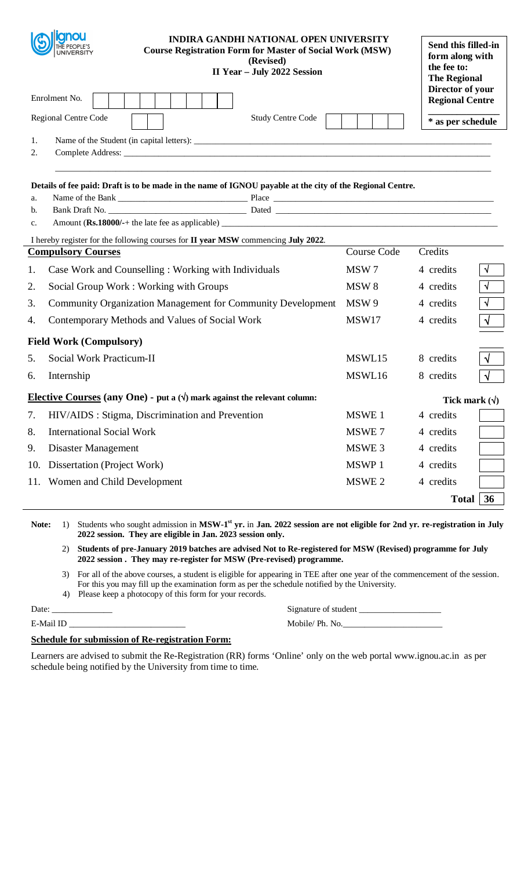|                | cinou<br><b>INDIRA GANDHI NATIONAL OPEN UNIVERSITY</b><br><b>Course Registration Form for Master of Social Work (MSW)</b><br>UNIVERSITY<br>(Revised)<br>II Year - July 2022 Session |                    | Send this filled-in<br>form along with<br>the fee to:<br><b>The Regional</b> |            |
|----------------|-------------------------------------------------------------------------------------------------------------------------------------------------------------------------------------|--------------------|------------------------------------------------------------------------------|------------|
|                | Enrolment No.                                                                                                                                                                       |                    | Director of your<br><b>Regional Centre</b>                                   |            |
|                | Regional Centre Code<br><b>Study Centre Code</b>                                                                                                                                    |                    | * as per schedule                                                            |            |
| 1.             |                                                                                                                                                                                     |                    |                                                                              |            |
| 2.             |                                                                                                                                                                                     |                    |                                                                              |            |
| a.<br>b.<br>c. | Details of fee paid: Draft is to be made in the name of IGNOU payable at the city of the Regional Centre.                                                                           |                    |                                                                              |            |
|                | I hereby register for the following courses for II year MSW commencing July 2022.                                                                                                   | <b>Course Code</b> | Credits                                                                      |            |
|                | <b>Compulsory Courses</b>                                                                                                                                                           |                    |                                                                              |            |
| 1.             | Case Work and Counselling: Working with Individuals                                                                                                                                 | MSW7               | 4 credits                                                                    | $\sqrt{ }$ |
| 2.             | Social Group Work: Working with Groups                                                                                                                                              | MSW <sub>8</sub>   | 4 credits                                                                    | $\sqrt{ }$ |
| 3.             | Community Organization Management for Community Development                                                                                                                         | MSW 9              | 4 credits                                                                    | $\sqrt{ }$ |
| 4.             | Contemporary Methods and Values of Social Work                                                                                                                                      | MSW17              | 4 credits                                                                    | $\sqrt{ }$ |
|                | <b>Field Work (Compulsory)</b>                                                                                                                                                      |                    |                                                                              |            |
| 5.             | Social Work Practicum-II                                                                                                                                                            | MSWL15             | 8 credits                                                                    | $\sqrt{ }$ |
| 6.             | Internship                                                                                                                                                                          | MSWL16             | 8 credits                                                                    | $\sqrt{ }$ |
|                | Elective Courses (any One) - put a $(\sqrt{})$ mark against the relevant column:                                                                                                    |                    | Tick mark $(\forall)$                                                        |            |
|                | 7. HIV/AIDS: Stigma, Discrimination and Prevention                                                                                                                                  | MSWE 1             | 4 credits                                                                    |            |
| 8.             | <b>International Social Work</b>                                                                                                                                                    | MSWE 7             | 4 credits                                                                    |            |
| 9.             | <b>Disaster Management</b>                                                                                                                                                          | MSWE 3             | 4 credits                                                                    |            |
|                | 10. Dissertation (Project Work)                                                                                                                                                     | MSWP 1             | 4 credits                                                                    |            |
|                | 11. Women and Child Development                                                                                                                                                     | MSWE 2             | 4 credits                                                                    |            |
|                |                                                                                                                                                                                     |                    | <b>Total</b>                                                                 | 36         |
|                |                                                                                                                                                                                     |                    |                                                                              |            |

Note: 1) Students who sought admission in MSW-1<sup>st</sup> yr. in Jan. 2022 session are not eligible for 2nd yr. re-registration in July **2022 session. They are eligible in Jan. 2023 session only.** 

2) **Students of pre-January 2019 batches are advised Not to Re-registered for MSW (Revised) programme for July 2022 session . They may re-register for MSW (Pre-revised) programme.** 

- 3) For all of the above courses, a student is eligible for appearing in TEE after one year of the commencement of the session. For this you may fill up the examination form as per the schedule notified by the University.
- 4) Please keep a photocopy of this form for your records.

Date: \_\_\_\_\_\_\_\_\_\_\_\_\_\_ Signature of student \_\_\_\_\_\_\_\_\_\_\_\_\_\_\_\_\_\_\_ E-Mail ID \_\_\_\_\_\_\_\_\_\_\_\_\_\_\_\_\_\_\_\_\_\_\_\_\_\_\_ Mobile/ Ph. No.\_\_\_\_\_\_\_\_\_\_\_\_\_\_\_\_\_\_\_\_\_\_\_

# **Schedule for submission of Re-registration Form:**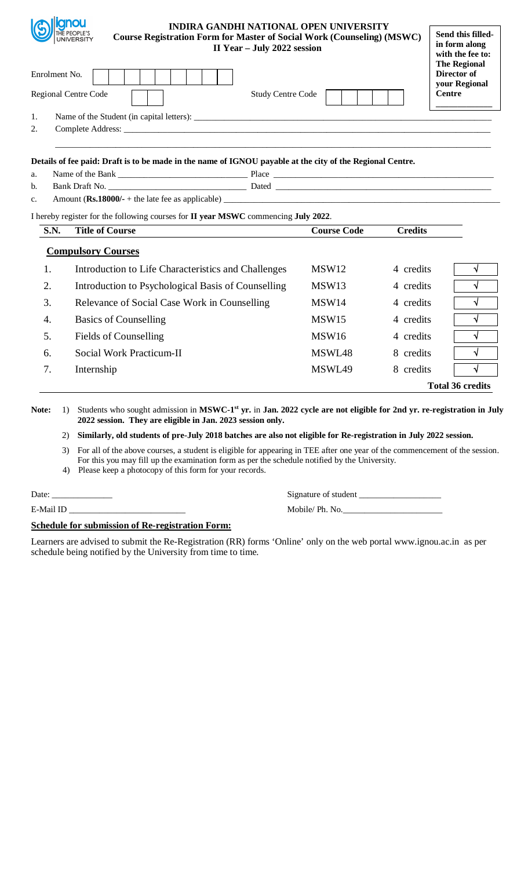|             | <b>Iliqnou</b><br><b>INDIRA GANDHI NATIONAL OPEN UNIVERSITY</b><br>THE PEOPLE'S<br><b>Course Registration Form for Master of Social Work (Counseling) (MSWC)</b><br><b>UNIVERSITY</b><br>II Year - July 2022 session<br>Enrolment No. |                    |                |                         |  |  |  |  |  |  |
|-------------|---------------------------------------------------------------------------------------------------------------------------------------------------------------------------------------------------------------------------------------|--------------------|----------------|-------------------------|--|--|--|--|--|--|
|             | Regional Centre Code<br><b>Study Centre Code</b>                                                                                                                                                                                      |                    |                | <b>Centre</b>           |  |  |  |  |  |  |
| 1.          |                                                                                                                                                                                                                                       |                    |                |                         |  |  |  |  |  |  |
| 2.          |                                                                                                                                                                                                                                       |                    |                |                         |  |  |  |  |  |  |
|             |                                                                                                                                                                                                                                       |                    |                |                         |  |  |  |  |  |  |
|             | Details of fee paid: Draft is to be made in the name of IGNOU payable at the city of the Regional Centre.                                                                                                                             |                    |                |                         |  |  |  |  |  |  |
| a.<br>b.    |                                                                                                                                                                                                                                       |                    |                |                         |  |  |  |  |  |  |
| c.          |                                                                                                                                                                                                                                       |                    |                |                         |  |  |  |  |  |  |
|             | I hereby register for the following courses for II year MSWC commencing July 2022.                                                                                                                                                    |                    |                |                         |  |  |  |  |  |  |
| <b>S.N.</b> | <b>Title of Course</b>                                                                                                                                                                                                                | <b>Course Code</b> | <b>Credits</b> |                         |  |  |  |  |  |  |
|             | <b>Compulsory Courses</b>                                                                                                                                                                                                             |                    |                |                         |  |  |  |  |  |  |
| 1.          | Introduction to Life Characteristics and Challenges                                                                                                                                                                                   | MSW <sub>12</sub>  | 4 credits      | $\sqrt{ }$              |  |  |  |  |  |  |
| 2.          | Introduction to Psychological Basis of Counselling                                                                                                                                                                                    | MSW13              | 4 credits      | $\sqrt{ }$              |  |  |  |  |  |  |
| 3.          | Relevance of Social Case Work in Counselling                                                                                                                                                                                          | MSW14              | 4 credits      | $\sqrt{ }$              |  |  |  |  |  |  |
| 4.          | <b>Basics of Counselling</b>                                                                                                                                                                                                          | MSW15              | 4 credits      | √                       |  |  |  |  |  |  |
| 5.          | <b>Fields of Counselling</b>                                                                                                                                                                                                          | MSW16              | 4 credits      | $\sqrt{ }$              |  |  |  |  |  |  |
| 6.          | Social Work Practicum-II                                                                                                                                                                                                              | MSWL48             | 8 credits      | $\sqrt{ }$              |  |  |  |  |  |  |
| 7.          | Internship                                                                                                                                                                                                                            | MSWL49             | 8 credits      | V                       |  |  |  |  |  |  |
|             |                                                                                                                                                                                                                                       |                    |                | <b>Total 36 credits</b> |  |  |  |  |  |  |

2) **Similarly, old students of pre-July 2018 batches are also not eligible for Re-registration in July 2022 session.** 

3) For all of the above courses, a student is eligible for appearing in TEE after one year of the commencement of the session. For this you may fill up the examination form as per the schedule notified by the University.

4) Please keep a photocopy of this form for your records.

**Indianou** 

Date: \_\_\_\_\_\_\_\_\_\_\_\_\_\_ Signature of student \_\_\_\_\_\_\_\_\_\_\_\_\_\_\_\_\_\_\_

E-Mail ID \_\_\_\_\_\_\_\_\_\_\_\_\_\_\_\_\_\_\_\_\_\_\_\_\_\_\_ Mobile/ Ph. No.\_\_\_\_\_\_\_\_\_\_\_\_\_\_\_\_\_\_\_\_\_\_\_

# **Schedule for submission of Re-registration Form:**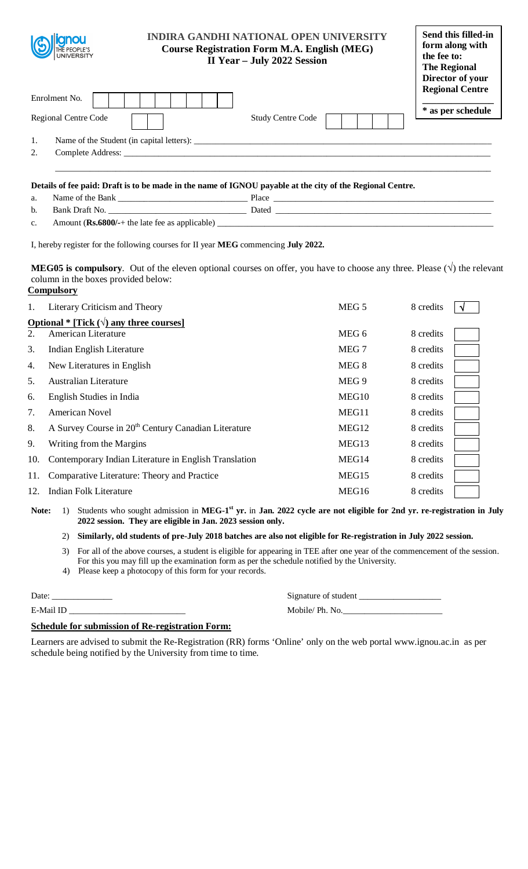| <b>anou</b><br>THE PEOPLE'S<br>UNIVERSITY |                                           | <b>INDIRA GANDHI NATIONAL OPEN UNIVERSITY</b><br><b>Course Registration Form M.A. English (MEG)</b><br>II Year - July 2022 Session |  |                                             |  |
|-------------------------------------------|-------------------------------------------|------------------------------------------------------------------------------------------------------------------------------------|--|---------------------------------------------|--|
| Enrolment No.                             |                                           |                                                                                                                                    |  | <b>Regional Centre</b><br>* as per schedule |  |
| <b>Regional Centre Code</b>               |                                           | <b>Study Centre Code</b>                                                                                                           |  |                                             |  |
| 1.                                        | Name of the Student (in capital letters): |                                                                                                                                    |  |                                             |  |
| 2.<br>Complete Address:                   |                                           |                                                                                                                                    |  |                                             |  |
|                                           |                                           |                                                                                                                                    |  |                                             |  |

a. Name of the Bank Place

b. Bank Draft No. \_\_\_\_\_\_\_\_\_\_\_\_\_\_\_\_\_\_\_\_\_\_\_\_\_\_\_\_\_\_\_\_ Dated \_\_\_\_\_\_\_\_\_\_\_\_\_\_\_\_\_\_\_\_\_\_\_\_\_\_\_\_\_\_\_\_\_\_\_\_\_\_\_\_\_\_\_\_\_\_\_\_\_\_

c. Amount  $(Rs.6800/+)$  the late fee as applicable)  $\qquad$ 

I, hereby register for the following courses for II year **MEG** commencing **July 2022.**

**MEG05 is compulsory**. Out of the eleven optional courses on offer, you have to choose any three. Please  $(\sqrt)$  the relevant column in the boxes provided below: **Compulsory** 

| 1.                                              | Literary Criticism and Theory                                   | MEG <sub>5</sub>  | 8 credits |  |  |  |  |  |  |
|-------------------------------------------------|-----------------------------------------------------------------|-------------------|-----------|--|--|--|--|--|--|
| Optional * [Tick $(\sqrt{})$ any three courses] |                                                                 |                   |           |  |  |  |  |  |  |
| 2.                                              | American Literature                                             | MEG 6             | 8 credits |  |  |  |  |  |  |
| 3.                                              | Indian English Literature                                       | MEG 7             | 8 credits |  |  |  |  |  |  |
| 4.                                              | New Literatures in English                                      | MEG 8             | 8 credits |  |  |  |  |  |  |
| 5.                                              | <b>Australian Literature</b>                                    | MEG 9             | 8 credits |  |  |  |  |  |  |
| 6.                                              | English Studies in India                                        | MEG10             | 8 credits |  |  |  |  |  |  |
| 7.                                              | <b>American Novel</b>                                           | MEG11             | 8 credits |  |  |  |  |  |  |
| 8.                                              | A Survey Course in 20 <sup>th</sup> Century Canadian Literature | MEG <sub>12</sub> | 8 credits |  |  |  |  |  |  |
| 9.                                              | Writing from the Margins                                        | MEG13             | 8 credits |  |  |  |  |  |  |
| 10.                                             | Contemporary Indian Literature in English Translation           | MEG14             | 8 credits |  |  |  |  |  |  |
| 11.                                             | Comparative Literature: Theory and Practice                     | MEG15             | 8 credits |  |  |  |  |  |  |
| 12.                                             | Indian Folk Literature                                          | MEG16             | 8 credits |  |  |  |  |  |  |

#### 2) **Similarly, old students of pre-July 2018 batches are also not eligible for Re-registration in July 2022 session.**

- 3) For all of the above courses, a student is eligible for appearing in TEE after one year of the commencement of the session. For this you may fill up the examination form as per the schedule notified by the University.
- 4) Please keep a photocopy of this form for your records.

| L<br>12<br>r |  |
|--------------|--|
|              |  |

| Date:     | Signature of student |
|-----------|----------------------|
| E-Mail ID | Mobile/ Ph. No.      |

# **Schedule for submission of Re-registration Form:**

Note: 1) Students who sought admission in MEG-1<sup>st</sup> yr. in Jan. 2022 cycle are not eligible for 2nd yr. re-registration in July **2022 session. They are eligible in Jan. 2023 session only.**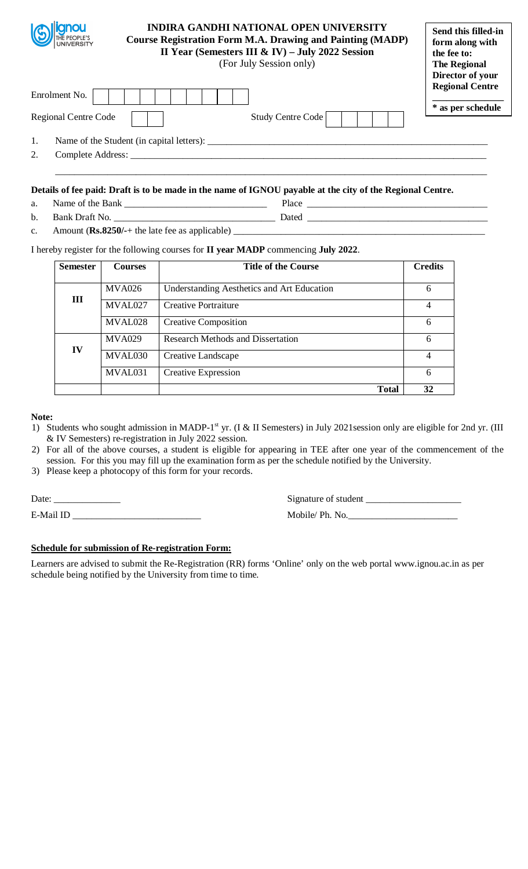| THE PEOPLE'S<br>UNIVERSITY                   |                                           | <b>INDIRA GANDHI NATIONAL OPEN UNIVERSITY</b><br><b>Course Registration Form M.A. Drawing and Painting (MADP)</b><br>II Year (Semesters III & IV) - July 2022 Session<br>(For July Session only) |                                             |  |  |
|----------------------------------------------|-------------------------------------------|--------------------------------------------------------------------------------------------------------------------------------------------------------------------------------------------------|---------------------------------------------|--|--|
| Enrolment No.<br><b>Regional Centre Code</b> |                                           | Study Centre Code                                                                                                                                                                                | <b>Regional Centre</b><br>* as per schedule |  |  |
| 1.<br>2.                                     | Name of the Student (in capital letters): |                                                                                                                                                                                                  |                                             |  |  |

- a. Name of the Bank \_\_\_\_\_\_\_\_\_\_\_\_\_\_\_\_\_\_\_\_\_\_\_\_\_\_\_\_\_\_ Place \_\_\_\_\_\_\_\_\_\_\_\_\_\_\_\_\_\_\_\_\_\_\_\_\_\_\_\_\_\_\_\_\_\_\_\_\_\_
- b. Bank Draft No. \_\_\_\_\_\_\_\_\_\_\_\_\_\_\_\_\_\_\_\_\_\_\_\_\_\_\_\_\_\_\_\_\_\_ Dated \_\_\_\_\_\_\_\_\_\_\_\_\_\_\_\_\_\_\_\_\_\_\_\_\_\_\_\_\_\_\_\_\_\_\_\_\_\_
- c. Amount (Rs.8250/-+ the late fee as applicable)

I hereby register for the following courses for **II year MADP** commencing **July 2022**.

| <b>Semester</b> | <b>Courses</b> | <b>Title of the Course</b>                        | <b>Credits</b> |
|-----------------|----------------|---------------------------------------------------|----------------|
|                 | <b>MVA026</b>  | <b>Understanding Aesthetics and Art Education</b> | 6              |
| Ш               | MVAL027        | Creative Portraiture                              | $\overline{4}$ |
|                 | MVAL028        | <b>Creative Composition</b>                       | 6              |
|                 | <b>MVA029</b>  | <b>Research Methods and Dissertation</b>          | 6              |
| IV              | MVAL030        | Creative Landscape                                | 4              |
|                 | MVAL031        | <b>Creative Expression</b>                        | 6              |
|                 |                | <b>Total</b>                                      | 32             |

## **Note:**

- 1) Students who sought admission in MADP-1<sup>st</sup> yr. (I & II Semesters) in July 2021session only are eligible for 2nd yr. (III & IV Semesters) re-registration in July 2022 session.
- 2) For all of the above courses, a student is eligible for appearing in TEE after one year of the commencement of the session. For this you may fill up the examination form as per the schedule notified by the University.
- 3) Please keep a photocopy of this form for your records.

Date: \_\_\_\_\_\_\_\_\_\_\_\_\_\_ Signature of student \_\_\_\_\_\_\_\_\_\_\_\_\_\_\_\_\_\_\_\_

E-Mail ID \_\_\_\_\_\_\_\_\_\_\_\_\_\_\_\_\_\_\_\_\_\_\_\_\_\_\_ Mobile/ Ph. No.\_\_\_\_\_\_\_\_\_\_\_\_\_\_\_\_\_\_\_\_\_\_\_

## **Schedule for submission of Re-registration Form:**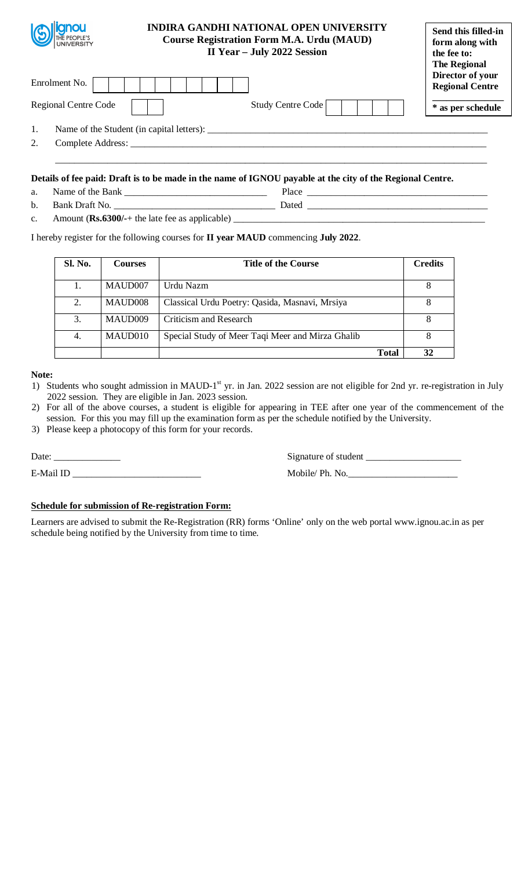| <b>ianou</b><br>WILE PEOPLE'S | <b>INDIRA GANDHI NATIONAL OPEN UNIVERSITY</b><br><b>Course Registration Form M.A. Urdu (MAUD)</b><br>II Year - July 2022 Session | Send this filled-in<br>form along with<br>the fee to:<br><b>The Regional</b> |
|-------------------------------|----------------------------------------------------------------------------------------------------------------------------------|------------------------------------------------------------------------------|
| Enrolment No.                 |                                                                                                                                  | Director of your<br><b>Regional Centre</b>                                   |
| <b>Regional Centre Code</b>   | Study Centre Code                                                                                                                | * as per schedule                                                            |
| 1.                            | Name of the Student (in capital letters):                                                                                        |                                                                              |
| 2.<br>Complete Address:       |                                                                                                                                  |                                                                              |
|                               |                                                                                                                                  |                                                                              |

| a. | Name<br>*h⊬<br>ാ†<br><b>Bank</b> | '1асе   |
|----|----------------------------------|---------|
| b. | ا صدا<br>Ront                    | ' )ated |

c. Amount (Rs.6300/-+ the late fee as applicable) \_\_\_\_\_\_\_\_\_\_\_\_\_\_\_\_\_\_\_\_\_\_\_\_\_\_\_\_\_\_\_

# I hereby register for the following courses for **II year MAUD** commencing **July 2022**.

| <b>Sl. No.</b> | <b>Courses</b> | <b>Title of the Course</b>                       | <b>Credits</b> |    |
|----------------|----------------|--------------------------------------------------|----------------|----|
|                | MAUD007        | Urdu Nazm                                        |                |    |
| 2.             | MAUD008        | Classical Urdu Poetry: Qasida, Masnavi, Mrsiya   |                |    |
| 3.             | MAUD009        | Criticism and Research                           |                | 8  |
| 4.             | MAUD010        | Special Study of Meer Taqi Meer and Mirza Ghalib |                | 8  |
|                |                |                                                  | <b>Total</b>   | 32 |

## **Note:**

1) Students who sought admission in MAUD-1<sup>st</sup> yr. in Jan. 2022 session are not eligible for 2nd yr. re-registration in July 2022 session. They are eligible in Jan. 2023 session.

- 2) For all of the above courses, a student is eligible for appearing in TEE after one year of the commencement of the session. For this you may fill up the examination form as per the schedule notified by the University.
- 3) Please keep a photocopy of this form for your records.

E-Mail ID \_\_\_\_\_\_\_\_\_\_\_\_\_\_\_\_\_\_\_\_\_\_\_\_\_\_\_ Mobile/ Ph. No.\_\_\_\_\_\_\_\_\_\_\_\_\_\_\_\_\_\_\_\_\_\_\_

Date: \_\_\_\_\_\_\_\_\_\_\_\_\_\_ Signature of student \_\_\_\_\_\_\_\_\_\_\_\_\_\_\_\_\_\_\_\_

## **Schedule for submission of Re-registration Form:**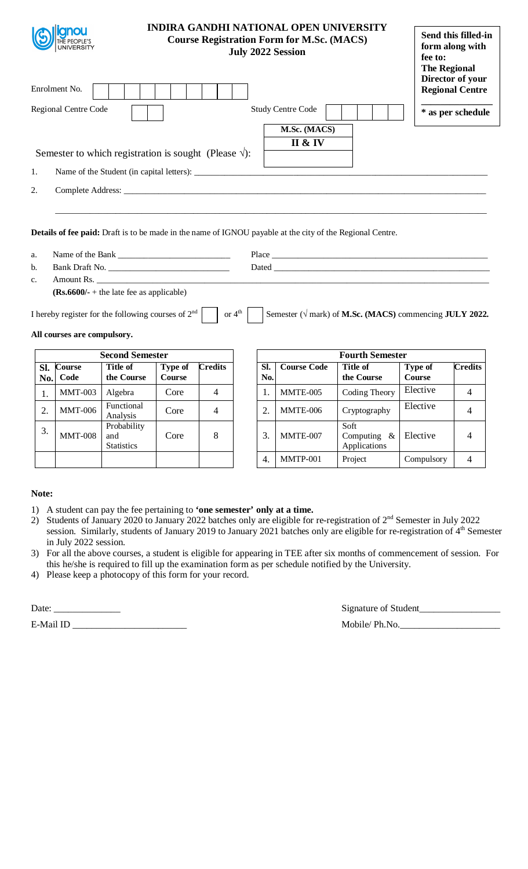|            | <b>INDIRA GANDHI NATIONAL OPEN UNIVERSITY</b><br><b>Course Registration Form for M.Sc. (MACS)</b> |                                                                |                                 |                |                    |            | <b>July 2022 Session</b> |                                                                                                                  | Send this filled-in<br>form along with<br>fee to:<br><b>The Regional</b> |                                            |  |
|------------|---------------------------------------------------------------------------------------------------|----------------------------------------------------------------|---------------------------------|----------------|--------------------|------------|--------------------------|------------------------------------------------------------------------------------------------------------------|--------------------------------------------------------------------------|--------------------------------------------|--|
|            | Enrolment No.                                                                                     |                                                                |                                 |                |                    |            |                          |                                                                                                                  |                                                                          | Director of your<br><b>Regional Centre</b> |  |
|            | Regional Centre Code                                                                              |                                                                |                                 |                |                    |            | <b>Study Centre Code</b> |                                                                                                                  |                                                                          | * as per schedule                          |  |
|            |                                                                                                   |                                                                |                                 |                |                    |            | M.Sc. (MACS)             |                                                                                                                  |                                                                          |                                            |  |
|            |                                                                                                   | Semester to which registration is sought (Please $\sqrt{ }$ ): |                                 |                |                    |            | II & IV                  |                                                                                                                  |                                                                          |                                            |  |
| 1.         |                                                                                                   |                                                                |                                 |                |                    |            |                          |                                                                                                                  |                                                                          |                                            |  |
| 2.         |                                                                                                   |                                                                |                                 |                |                    |            |                          |                                                                                                                  |                                                                          |                                            |  |
|            |                                                                                                   |                                                                |                                 |                |                    |            |                          |                                                                                                                  |                                                                          |                                            |  |
| a.         |                                                                                                   |                                                                |                                 |                |                    |            |                          | <b>Details of fee paid:</b> Draft is to be made in the name of IGNOU payable at the city of the Regional Centre. |                                                                          |                                            |  |
| b.         |                                                                                                   |                                                                |                                 |                |                    |            |                          |                                                                                                                  |                                                                          |                                            |  |
| c.         |                                                                                                   |                                                                |                                 |                |                    |            | Amount Rs.               |                                                                                                                  |                                                                          |                                            |  |
|            |                                                                                                   | $(Rs.6600/- + the late fee as applicable)$                     |                                 |                |                    |            |                          |                                                                                                                  |                                                                          |                                            |  |
|            | All courses are compulsory.                                                                       | I hereby register for the following courses of $2nd$           |                                 |                | or $4^{\text{th}}$ |            |                          | Semester ( $\sqrt{$ mark) of M.Sc. (MACS) commencing JULY 2022.                                                  |                                                                          |                                            |  |
|            |                                                                                                   | <b>Second Semester</b>                                         |                                 |                |                    |            |                          | <b>Fourth Semester</b>                                                                                           |                                                                          |                                            |  |
| Sl.<br>No. | <b>Course</b><br>Code                                                                             | Title of<br>the Course                                         | <b>Type of</b><br><b>Course</b> | <b>Credits</b> |                    | Sl.<br>No. | <b>Course Code</b>       | <b>Title of</b><br>the Course                                                                                    | <b>Type of</b><br><b>Course</b>                                          | <b>Credits</b>                             |  |
| 1.         | <b>MMT-003</b>                                                                                    | Algebra                                                        | Core                            | $\overline{4}$ |                    | 1.         | MMTE-005                 | Coding Theory                                                                                                    | Elective                                                                 | $\overline{4}$                             |  |

| in July 2022 session.                                                                                                     |  |
|---------------------------------------------------------------------------------------------------------------------------|--|
| 3) For all the above courses, a student is eligible for appearing in TEE after six months of commencement of session. For |  |
| this he/she is required to fill up the examination form as per schedule notified by the University.                       |  |

session. Similarly, students of January 2019 to January 2021 batches only are eligible for re-registration of 4<sup>th</sup> Semester

2) Students of January 2020 to January 2022 batches only are eligible for re-registration of  $2^{nd}$  Semester in July 2022

Core | 8 | 3. | MMTE-007

Functional Core 4 2. MMTE-006 Cryptography Elective 4

Soft

Computing & Applications

4. MMTP-001 Project Compulsory 4

4) Please keep a photocopy of this form for your record.

1) A student can pay the fee pertaining to **'one semester' only at a time.**

Date:  $\frac{1}{\sqrt{1-\frac{1}{2}}\cdot\frac{1}{\sqrt{1-\frac{1}{2}}}}$ 

2. MMT-006 Functional

Probability and **Statistics** 

3. MMT-008

**Note:**

E-Mail ID \_\_\_\_\_\_\_\_\_\_\_\_\_\_\_\_\_\_\_\_\_\_\_\_ Mobile/ Ph.No.\_\_\_\_\_\_\_\_\_\_\_\_\_\_\_\_\_\_\_\_\_

| Signature of Student   |  |
|------------------------|--|
| $M_0 h H_2 / Dh_1 M_2$ |  |

Elective 4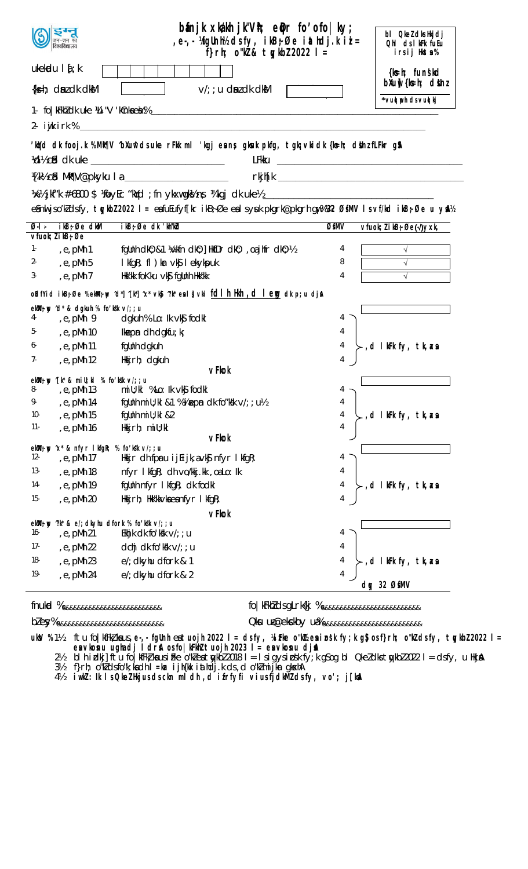| $b$ ánjk xkákh j $k$ "V $\hbar$ ; e $\phi$ r fo $\prime$ ofo $ $ ky;<br>, e-, - 'AfgUnh½ dsfy, ikB;Øe iathdj.kii =<br>f}rh; $o''R & t \cdot g/bZ$ 2022 l = |                                                                                                               | bl Qkel dks Hkjdj<br>Ohl cls I kFk fuEu<br>irsij Hksta% |  |  |
|------------------------------------------------------------------------------------------------------------------------------------------------------------|---------------------------------------------------------------------------------------------------------------|---------------------------------------------------------|--|--|
| ukekadu $\mathbf{I}$ { ; k<br>$\{ks=h; \dim Z \, dk \, d\$                                                                                                 | $V/T$ ; u dni dk dkM                                                                                          | {k s - h; fun skd<br>$b$ Xu $\psi$ { $k$ =h; dšinz      |  |  |
|                                                                                                                                                            |                                                                                                               | *vud ph ds vud kj                                       |  |  |
|                                                                                                                                                            |                                                                                                               |                                                         |  |  |
|                                                                                                                                                            |                                                                                                               |                                                         |  |  |
|                                                                                                                                                            | 'kard dk fooj.k %Mik¶V ^bXunî dsuke rFkk mil 'kgj eans gkuk pkfg, tgk; vki dk {ks=h; dshnz fLFkr g\$A         |                                                         |  |  |
|                                                                                                                                                            |                                                                                                               |                                                         |  |  |
|                                                                                                                                                            |                                                                                                               |                                                         |  |  |
|                                                                                                                                                            | %%jkf"k #-6800 \$ \oyEc "k\d ; fn ykxwgk\%n; \kqj clk uke\ _______________________                            |                                                         |  |  |
|                                                                                                                                                            | esni jso'k dsfy, tykbl 2022 I = esfuEufyf[kr ikB; Øe esl syuk pkgrk@pkgrh gw% %2 ØsMV I svf/kd ikB; Øe u ysk4 |                                                         |  |  |
| $ikB$ ; Øe d $kM$<br>$Q_1$ .<br>$V$ fuok; $l$ i kB $\frac{1}{2}$ Øe                                                                                        | ikB; Øe dk 'kh"kbl<br>ØfMV                                                                                    | $v$ fuok; $l$ i kB $\div$ Øe( $\sqrt{y}$ xk,            |  |  |
| 1-<br>e, pMh 1,                                                                                                                                            | fgUnh dk0; &1 ¼/kfn dk0; ] HkfDr dk0; , oa jhfr dk0; ½<br>4                                                   | $\sqrt{ }$                                              |  |  |
| $, e, pMh$ 5<br>$2 -$                                                                                                                                      | I kfgR; fl) kar vk§l ekykpuk<br>8                                                                             |                                                         |  |  |
| , $e$ , $pMh$ 7<br>3-                                                                                                                                      | Hkk'kk foKku vkg fgunh Hkk'kk<br>4                                                                            |                                                         |  |  |
|                                                                                                                                                            | o\$dfYiclikB;Øe %ekMl;ny ^d*]^[k*]^x*vk§j^?k*eal}vki <u>fcllhiHknh ,cllen</u> g dk p;u dja\                   |                                                         |  |  |
| ekW <sub>;</sub> wy 'd* & dgkuh % fo'k k v/;; u                                                                                                            |                                                                                                               |                                                         |  |  |
| e,pMh 9,<br>4-                                                                                                                                             | dgkuh % Lo: Ik vkj fodkl<br>4                                                                                 |                                                         |  |  |
| 5-<br>e, pMh 10,                                                                                                                                           | <b>Ikepin</b> dh dgkfu; k<br>4                                                                                |                                                         |  |  |
| 6-<br>e, pMh 11,                                                                                                                                           | fgllnh dgkuh<br>4                                                                                             | ,d IkFk fy, tk,as                                       |  |  |
| 7-<br>e, pMh 12                                                                                                                                            | 4<br>Hkkjrh; dgkuh                                                                                            |                                                         |  |  |
| ekWi; wy ^[k* & mill; kl % fo 'k *k v/;; u                                                                                                                 | <b>vFkok</b>                                                                                                  |                                                         |  |  |
| 8-<br>e, pMh 13,                                                                                                                                           | mill; kl %Lo: lk ∨k§ fodkl                                                                                    |                                                         |  |  |
| 9.<br>, e, pMh 14                                                                                                                                          | fgUnh mill; kl &1 % Vinepm dk fo "ksk v/; ; u\%<br>4                                                          |                                                         |  |  |
| $10-$<br>, e, pMh 15                                                                                                                                       | fgUnh mill; kl &2<br>4                                                                                        | ,d IkFk fy, tk,asa                                      |  |  |
| $11-$<br>, e, pMh 16                                                                                                                                       | 4<br>Hkkjrh; miU; kl<br>vFkok                                                                                 |                                                         |  |  |
| ekWi; w 'x* & nfyr I kfgR; % fo'kk v/;; u                                                                                                                  |                                                                                                               |                                                         |  |  |
| $12 -$<br>, e, pMh 17                                                                                                                                      | Hkkjr dh fpru ij $E$ ijk, a $\vee$ k $\S$ nfyr l kfgR;<br>4                                                   |                                                         |  |  |
| $13-$<br>, e, pMh 18                                                                                                                                       | 4<br>nfyr I kfgR; dh vo/kkj.kk, oaLo: Ik                                                                      |                                                         |  |  |
| 14-<br>, e, pMh 19                                                                                                                                         | fgunh nfyr I kfgR; dk fodkl<br>4                                                                              | ,d IkFk fy, tk,ax                                       |  |  |
| $15 -$<br>, e, pMh 20                                                                                                                                      | 4<br>Hkkj $rh$ ; Hkk'kk $\vee$ ka ea nf $\vee$ r I kfq $R$ ;                                                  |                                                         |  |  |
| <b>vFkok</b>                                                                                                                                               |                                                                                                               |                                                         |  |  |
| ekWi; w "k" & e/; dkyhu dfork % fo'kk v/; ; u<br>16-<br>, e, pMh 21                                                                                        | Ekhjk dk fo'ksk $V$ ; ; u<br>4                                                                                |                                                         |  |  |
| $17-$<br>, e, pMh 22                                                                                                                                       | dchj dk fo'kk $v$ /; ; u<br>4                                                                                 |                                                         |  |  |
| 18-<br>, e, pMh 23                                                                                                                                         | e/; dkyhu dfork & 1<br>4                                                                                      | d I kFk fy, tk, xa                                      |  |  |
| 19-<br>, e, pMh 24                                                                                                                                         | 4<br>e/; dkyhu dfork & 2                                                                                      | day 32 ØfMV                                             |  |  |

 ${\sf flux}$ 

fo | kFkN dsgLrk{kj % <sub>888888888888888888888888888</sub>

Oku ua@ekckby ua% &&&&&&&&&&&&&&&&&&&&&&&&&

ftu fo|kfFk!kaus,e-,-fgUnheatuojh 2022 I= clsfy, YaiFke o"kWzeninosk fy;k g\$josf}rh; o"k2clsfy, tyykb22022 I=<br>entvkonu ughacij Iclrka osfo|kFkh2tuojh 2023 I= entvkonu cijna<br>blhidkj]ftu fo|kfFk!kausiFke o"k2eatykb22018 I= I **ukV** %1½

 $2\frac{1}{2}$ 

 $3\frac{1}{2}$ 

 $4\frac{1}{2}$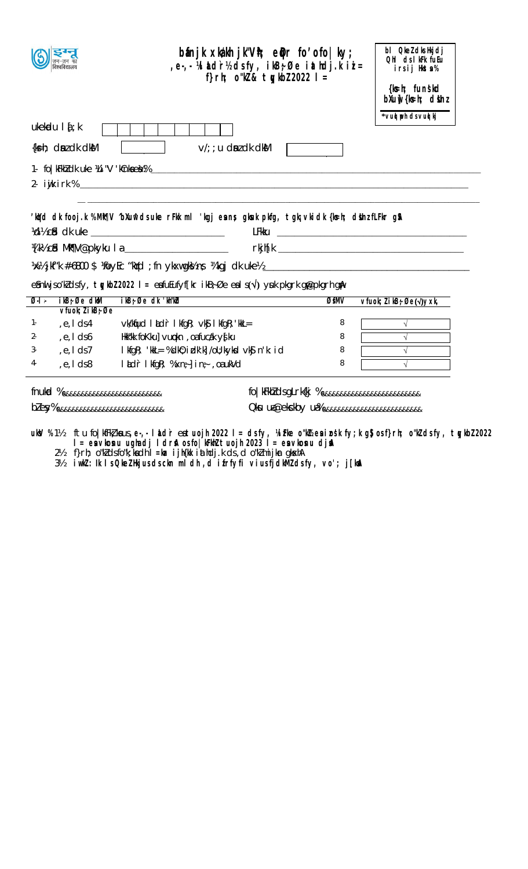|                                            | $b$ ánjk xkákh j $k^nV$ h; e $\phi$ r fo $\delta$ ofo $ ky\rangle$ ;<br>e Midr½ dsfy, ikB;Øe iathdj.kii=<br>f}rh; $o''R & t\psi$ kbl 2022   =             |      | bl Qkel dks Hkjdj<br>Ohl ds I kFk fuEu<br>irsij Hkta%<br>{ks=h; funskd |
|--------------------------------------------|-----------------------------------------------------------------------------------------------------------------------------------------------------------|------|------------------------------------------------------------------------|
|                                            |                                                                                                                                                           |      | $b$ Xu $\psi$ { $k$ =h; $d$ sh $i$                                     |
| $ukekadu$   $\{$ ; $k$                     |                                                                                                                                                           |      | *vud poh ds vud kj                                                     |
|                                            |                                                                                                                                                           |      |                                                                        |
| $\{k=h; \text{ dm } d k \text{ d } k\}$    | $V/T$ ; u dni dk dkM                                                                                                                                      |      |                                                                        |
|                                            |                                                                                                                                                           |      |                                                                        |
|                                            | 'kird dk fooj.k %Mit¶V "bXunî dsuke rFkk mi 'kgj eans gkuk pkfg, tgk; vki dk {ks=h; dishz fLFkr g\$\                                                      |      |                                                                        |
|                                            | %Www.cidedia/Mixtyletary/cidedia/Mixtyletary/cidedia/Mixtyletary/cidedia/Mixtyletary/cidedia/Mixtyletary/cided                                            |      |                                                                        |
|                                            |                                                                                                                                                           |      |                                                                        |
|                                            |                                                                                                                                                           |      |                                                                        |
|                                            | e snul jsoʻklasfy, tykbol 2022 l = esfu Eufyf $[\text{kr} \text{ ikB}$ ; Øe esl s $(\sqrt{})$ yuk pkgrk gr $\text{p}$ kgrh gr $\text{A}$                  |      |                                                                        |
|                                            |                                                                                                                                                           |      |                                                                        |
| $ikB$ ; Øe dkM<br>$Q_1$ .                  | ikB; Øe dk 'kh"kbl                                                                                                                                        | ØfMV | vfuok; l i kB; Øe(√)yxk,                                               |
| $V$ fuok; $l$ i kB; Øe<br>, e, I ds4<br>1. | $\vee$ k/ktjud ladr lkfgR; $\vee$ k $\int$ lkfgR; kkL=                                                                                                    | 8    | $\sqrt{ }$                                                             |
| 2-<br>, $e, I ds$                          | Hkk"kk foKku] vupkn, oafucak y{ku                                                                                                                         | 8    |                                                                        |
| 3-<br>e, I ds 7,                           | I kfgR; 'kkL= %dk0; i dk'k] /oU; kykd vk\$ n'k: i d                                                                                                       | 8    |                                                                        |
| 4-<br>$, e, I$ ds 8                        | $l$ <b>adr</b> $l$ kfgR; $%$ xn <sub>7</sub> $\}$ in <sub>7</sub> , oaukVd                                                                                | 8    |                                                                        |
| fnukd % &&&&&&&&&&&&&&&&&&&&&&&&&          | fo   kFkM dsgLrk{kj % <sub>&amp;&amp;&amp;&amp;&amp;&amp;&amp;&amp;&amp;&amp;&amp;&amp;&amp;&amp;&amp;&amp;&amp;&amp;&amp;&amp;&amp;&amp;&amp;&amp;</sub> |      |                                                                        |

ukov %1½ ftu fo|kfFk/kaus,e-,-laldireatuojh 2022 l=dsfy, %irke o"k½eainosk fy;k g\$osf}rh; o"k/dsfy, tyykb/2022<br>I=eavkosnu ughadj Idrsitosfo[kFkh/tuojh 2023 l=eavkosnu djski<br>2½ f}rh; o"k/dsfo"k;kadh l=kar ijh{kk iathdj.k ds